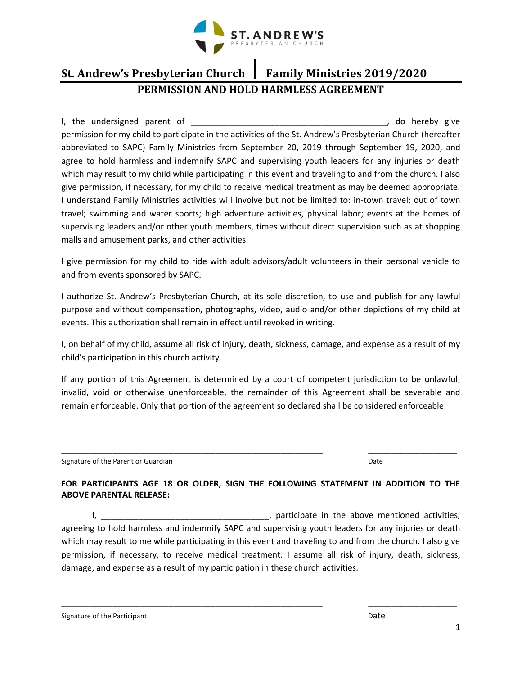

# **St. Andrew's Presbyterian Church Family Ministries 2019/2020 PERMISSION AND HOLD HARMLESS AGREEMENT**

I, the undersigned parent of \_\_\_\_\_\_\_\_\_\_\_\_\_\_\_\_\_\_\_\_\_\_\_\_\_\_\_\_\_\_\_\_\_\_\_\_\_\_\_\_\_\_, do hereby give permission for my child to participate in the activities of the St. Andrew's Presbyterian Church (hereafter abbreviated to SAPC) Family Ministries from September 20, 2019 through September 19, 2020, and agree to hold harmless and indemnify SAPC and supervising youth leaders for any injuries or death which may result to my child while participating in this event and traveling to and from the church. I also give permission, if necessary, for my child to receive medical treatment as may be deemed appropriate. I understand Family Ministries activities will involve but not be limited to: in-town travel; out of town travel; swimming and water sports; high adventure activities, physical labor; events at the homes of supervising leaders and/or other youth members, times without direct supervision such as at shopping malls and amusement parks, and other activities.

I give permission for my child to ride with adult advisors/adult volunteers in their personal vehicle to and from events sponsored by SAPC.

I authorize St. Andrew's Presbyterian Church, at its sole discretion, to use and publish for any lawful purpose and without compensation, photographs, video, audio and/or other depictions of my child at events. This authorization shall remain in effect until revoked in writing.

I, on behalf of my child, assume all risk of injury, death, sickness, damage, and expense as a result of my child's participation in this church activity.

If any portion of this Agreement is determined by a court of competent jurisdiction to be unlawful, invalid, void or otherwise unenforceable, the remainder of this Agreement shall be severable and remain enforceable. Only that portion of the agreement so declared shall be considered enforceable.

Signature of the Parent or Guardian Date of the Parent or Guardian Date of the Date of the Parent or Guardian Date

#### **FOR PARTICIPANTS AGE 18 OR OLDER, SIGN THE FOLLOWING STATEMENT IN ADDITION TO THE ABOVE PARENTAL RELEASE:**

\_\_\_\_\_\_\_\_\_\_\_\_\_\_\_\_\_\_\_\_\_\_\_\_\_\_\_\_\_\_\_\_\_\_\_\_\_\_\_\_\_\_\_\_\_\_\_\_\_\_\_\_\_\_\_\_ \_\_\_\_\_\_\_\_\_\_\_\_\_\_\_\_\_\_\_

I, \_\_\_\_\_\_\_\_\_\_\_\_\_\_\_\_\_\_\_\_\_\_\_\_\_\_\_\_\_\_\_\_\_\_\_\_, participate in the above mentioned activities, agreeing to hold harmless and indemnify SAPC and supervising youth leaders for any injuries or death which may result to me while participating in this event and traveling to and from the church. I also give permission, if necessary, to receive medical treatment. I assume all risk of injury, death, sickness, damage, and expense as a result of my participation in these church activities.

\_\_\_\_\_\_\_\_\_\_\_\_\_\_\_\_\_\_\_\_\_\_\_\_\_\_\_\_\_\_\_\_\_\_\_\_\_\_\_\_\_\_\_\_\_\_\_\_\_\_\_\_\_\_\_\_ \_\_\_\_\_\_\_\_\_\_\_\_\_\_\_\_\_\_\_

Signature of the Participant **Date** Date of the Participant **Date** Date of the Participant **Date**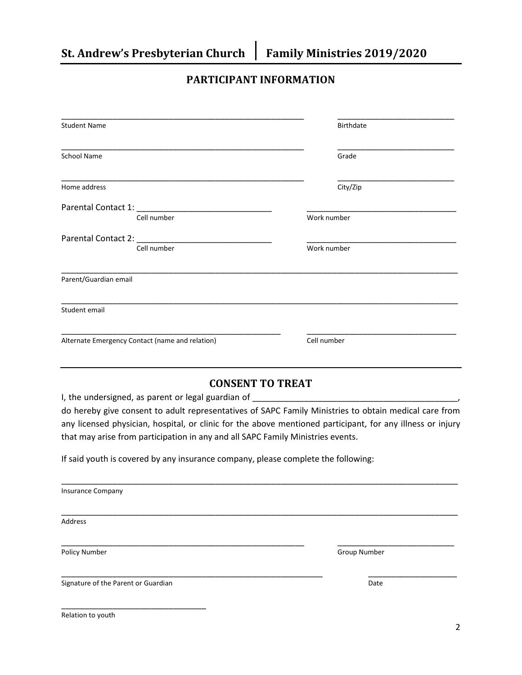### **PARTICIPANT INFORMATION**

| <b>Student Name</b>                                                                                                                                                                                                            | Birthdate   |  |  |
|--------------------------------------------------------------------------------------------------------------------------------------------------------------------------------------------------------------------------------|-------------|--|--|
| School Name                                                                                                                                                                                                                    | Grade       |  |  |
| Home address                                                                                                                                                                                                                   | City/Zip    |  |  |
|                                                                                                                                                                                                                                |             |  |  |
| Cell number                                                                                                                                                                                                                    | Work number |  |  |
| Parental Contact 2: New York Contact 2: New York Contact 2: New York Contact 2: New York Contact 2: New York Contact 2: New York Contact 2: New York Contact 2: New York Contact 2: New York Contact 2: New York Contact 2: Ne |             |  |  |
| Cell number                                                                                                                                                                                                                    | Work number |  |  |
| Parent/Guardian email                                                                                                                                                                                                          |             |  |  |
| Student email                                                                                                                                                                                                                  |             |  |  |
| Alternate Emergency Contact (name and relation)                                                                                                                                                                                | Cell number |  |  |

### **CONSENT TO TREAT**

I, the undersigned, as parent or legal guardian of \_\_\_\_\_\_\_\_\_\_\_\_\_\_\_\_\_\_\_\_\_\_\_\_\_\_\_\_\_\_

do hereby give consent to adult representatives of SAPC Family Ministries to obtain medical care from any licensed physician, hospital, or clinic for the above mentioned participant, for any illness or injury that may arise from participation in any and all SAPC Family Ministries events.

If said youth is covered by any insurance company, please complete the following:

| <b>Insurance Company</b> |                     |
|--------------------------|---------------------|
| Address                  |                     |
| Policy Number            | <b>Group Number</b> |
|                          |                     |

Signature of the Parent or Guardian Date of the Parent or Guardian Date of the Parent or Guardian Date of the Date of the Date of the Date of the Date of the Date of the Date of the Date of the Date of the Date of the Date

\_\_\_\_\_\_\_\_\_\_\_\_\_\_\_\_\_\_\_\_\_\_\_\_\_\_\_\_\_\_\_

Relation to youth